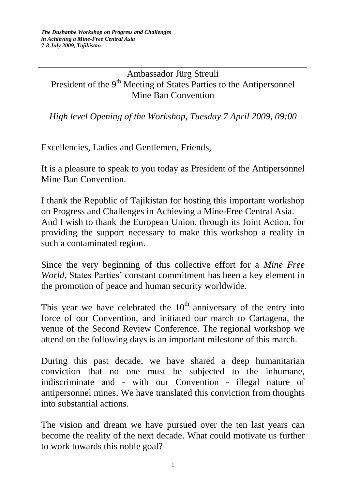## Ambassador Jürg Streuli President of the 9<sup>th</sup> Meeting of States Parties to the Antipersonnel Mine Ban Convention

*High level Opening of the Workshop, Tuesday 7 April 2009, 09:00*

Excellencies, Ladies and Gentlemen, Friends,

It is a pleasure to speak to you today as President of the Antipersonnel Mine Ban Convention.

I thank the Republic of Tajikistan for hosting this important workshop on Progress and Challenges in Achieving a Mine-Free Central Asia. And I wish to thank the European Union, through its Joint Action, for providing the support necessary to make this workshop a reality in such a contaminated region.

Since the very beginning of this collective effort for a *Mine Free World*, States Parties' constant commitment has been a key element in the promotion of peace and human security worldwide.

This year we have celebrated the  $10<sup>th</sup>$  anniversary of the entry into force of our Convention, and initiated our march to Cartagena, the venue of the Second Review Conference. The regional workshop we attend on the following days is an important milestone of this march.

During this past decade, we have shared a deep humanitarian conviction that no one must be subjected to the inhumane, indiscriminate and - with our Convention - illegal nature of antipersonnel mines. We have translated this conviction from thoughts into substantial actions.

The vision and dream we have pursued over the ten last years can become the reality of the next decade. What could motivate us further to work towards this noble goal?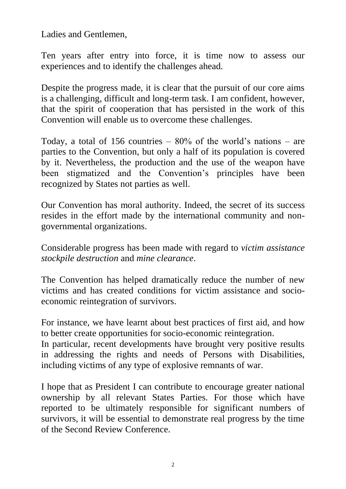Ladies and Gentlemen,

Ten years after entry into force, it is time now to assess our experiences and to identify the challenges ahead*.* 

Despite the progress made, it is clear that the pursuit of our core aims is a challenging, difficult and long-term task. I am confident, however, that the spirit of cooperation that has persisted in the work of this Convention will enable us to overcome these challenges.

Today, a total of 156 countries  $-80\%$  of the world's nations  $-$  are parties to the Convention, but only a half of its population is covered by it. Nevertheless, the production and the use of the weapon have been stigmatized and the Convention's principles have been recognized by States not parties as well.

Our Convention has moral authority. Indeed, the secret of its success resides in the effort made by the international community and nongovernmental organizations.

Considerable progress has been made with regard to *victim assistance stockpile destruction* and *mine clearance*.

The Convention has helped dramatically reduce the number of new victims and has created conditions for victim assistance and socioeconomic reintegration of survivors.

For instance, we have learnt about best practices of first aid, and how to better create opportunities for socio-economic reintegration.

In particular, recent developments have brought very positive results in addressing the rights and needs of Persons with Disabilities, including victims of any type of explosive remnants of war.

I hope that as President I can contribute to encourage greater national ownership by all relevant States Parties. For those which have reported to be ultimately responsible for significant numbers of survivors, it will be essential to demonstrate real progress by the time of the Second Review Conference.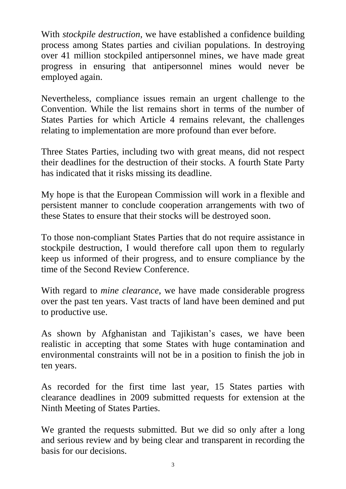With *stockpile destruction*, we have established a confidence building process among States parties and civilian populations. In destroying over 41 million stockpiled antipersonnel mines, we have made great progress in ensuring that antipersonnel mines would never be employed again.

Nevertheless, compliance issues remain an urgent challenge to the Convention. While the list remains short in terms of the number of States Parties for which Article 4 remains relevant, the challenges relating to implementation are more profound than ever before.

Three States Parties, including two with great means, did not respect their deadlines for the destruction of their stocks. A fourth State Party has indicated that it risks missing its deadline.

My hope is that the European Commission will work in a flexible and persistent manner to conclude cooperation arrangements with two of these States to ensure that their stocks will be destroyed soon.

To those non-compliant States Parties that do not require assistance in stockpile destruction, I would therefore call upon them to regularly keep us informed of their progress, and to ensure compliance by the time of the Second Review Conference.

With regard to *mine clearance*, we have made considerable progress over the past ten years. Vast tracts of land have been demined and put to productive use.

As shown by Afghanistan and Tajikistan's cases, we have been realistic in accepting that some States with huge contamination and environmental constraints will not be in a position to finish the job in ten years.

As recorded for the first time last year, 15 States parties with clearance deadlines in 2009 submitted requests for extension at the Ninth Meeting of States Parties.

We granted the requests submitted. But we did so only after a long and serious review and by being clear and transparent in recording the basis for our decisions.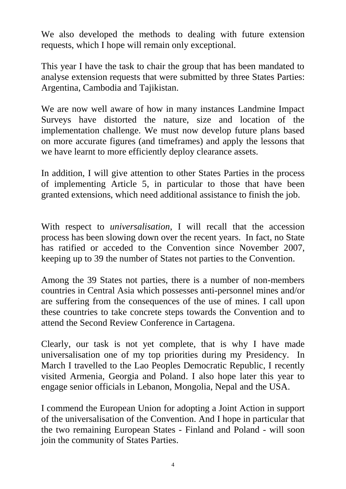We also developed the methods to dealing with future extension requests, which I hope will remain only exceptional.

This year I have the task to chair the group that has been mandated to analyse extension requests that were submitted by three States Parties: Argentina, Cambodia and Tajikistan.

We are now well aware of how in many instances Landmine Impact Surveys have distorted the nature, size and location of the implementation challenge. We must now develop future plans based on more accurate figures (and timeframes) and apply the lessons that we have learnt to more efficiently deploy clearance assets.

In addition, I will give attention to other States Parties in the process of implementing Article 5, in particular to those that have been granted extensions, which need additional assistance to finish the job.

With respect to *universalisation*, I will recall that the accession process has been slowing down over the recent years. In fact, no State has ratified or acceded to the Convention since November 2007, keeping up to 39 the number of States not parties to the Convention.

Among the 39 States not parties, there is a number of non-members countries in Central Asia which possesses anti-personnel mines and/or are suffering from the consequences of the use of mines. I call upon these countries to take concrete steps towards the Convention and to attend the Second Review Conference in Cartagena.

Clearly, our task is not yet complete, that is why I have made universalisation one of my top priorities during my Presidency. In March I travelled to the Lao Peoples Democratic Republic, I recently visited Armenia, Georgia and Poland. I also hope later this year to engage senior officials in Lebanon, Mongolia, Nepal and the USA.

I commend the European Union for adopting a Joint Action in support of the universalisation of the Convention. And I hope in particular that the two remaining European States - Finland and Poland - will soon join the community of States Parties.